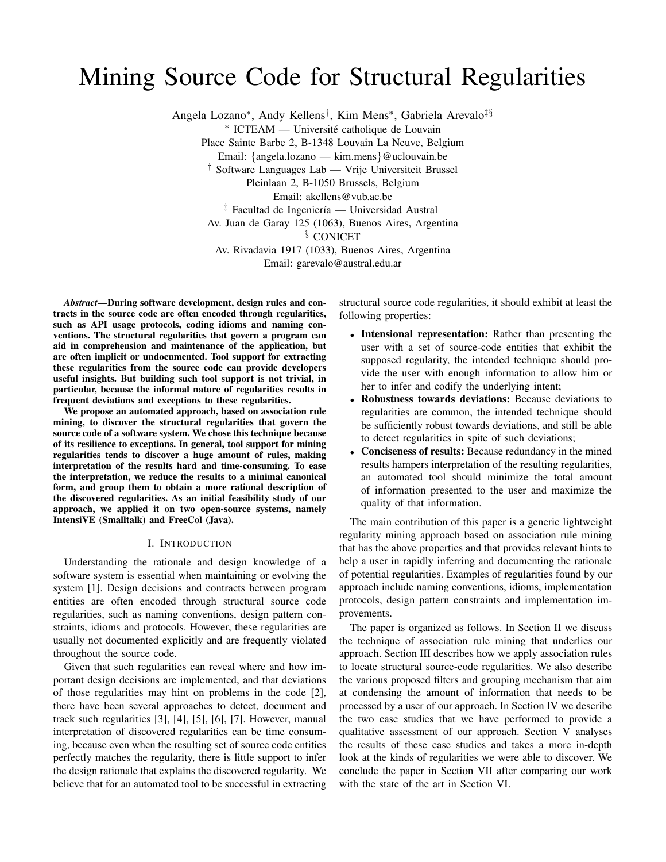# Mining Source Code for Structural Regularities

Angela Lozano<sup>∗</sup> , Andy Kellens† , Kim Mens<sup>∗</sup> , Gabriela Arevalo‡§

∗ ICTEAM — Universite catholique de Louvain ´

Place Sainte Barbe 2, B-1348 Louvain La Neuve, Belgium

Email: {angela.lozano — kim.mens}@uclouvain.be

† Software Languages Lab — Vrije Universiteit Brussel

Pleinlaan 2, B-1050 Brussels, Belgium

Email: akellens@vub.ac.be

 $\frac{1}{x}$  Facultad de Ingeniería — Universidad Austral

Av. Juan de Garay 125 (1063), Buenos Aires, Argentina

§ CONICET

Av. Rivadavia 1917 (1033), Buenos Aires, Argentina Email: garevalo@austral.edu.ar

*Abstract*—During software development, design rules and contracts in the source code are often encoded through regularities, such as API usage protocols, coding idioms and naming conventions. The structural regularities that govern a program can aid in comprehension and maintenance of the application, but are often implicit or undocumented. Tool support for extracting these regularities from the source code can provide developers useful insights. But building such tool support is not trivial, in particular, because the informal nature of regularities results in frequent deviations and exceptions to these regularities.

We propose an automated approach, based on association rule mining, to discover the structural regularities that govern the source code of a software system. We chose this technique because of its resilience to exceptions. In general, tool support for mining regularities tends to discover a huge amount of rules, making interpretation of the results hard and time-consuming. To ease the interpretation, we reduce the results to a minimal canonical form, and group them to obtain a more rational description of the discovered regularities. As an initial feasibility study of our approach, we applied it on two open-source systems, namely IntensiVE (Smalltalk) and FreeCol (Java).

# I. INTRODUCTION

Understanding the rationale and design knowledge of a software system is essential when maintaining or evolving the system [1]. Design decisions and contracts between program entities are often encoded through structural source code regularities, such as naming conventions, design pattern constraints, idioms and protocols. However, these regularities are usually not documented explicitly and are frequently violated throughout the source code.

Given that such regularities can reveal where and how important design decisions are implemented, and that deviations of those regularities may hint on problems in the code [2], there have been several approaches to detect, document and track such regularities [3], [4], [5], [6], [7]. However, manual interpretation of discovered regularities can be time consuming, because even when the resulting set of source code entities perfectly matches the regularity, there is little support to infer the design rationale that explains the discovered regularity. We believe that for an automated tool to be successful in extracting

structural source code regularities, it should exhibit at least the following properties:

- Intensional representation: Rather than presenting the user with a set of source-code entities that exhibit the supposed regularity, the intended technique should provide the user with enough information to allow him or her to infer and codify the underlying intent;
- Robustness towards deviations: Because deviations to regularities are common, the intended technique should be sufficiently robust towards deviations, and still be able to detect regularities in spite of such deviations;
- Conciseness of results: Because redundancy in the mined results hampers interpretation of the resulting regularities, an automated tool should minimize the total amount of information presented to the user and maximize the quality of that information.

The main contribution of this paper is a generic lightweight regularity mining approach based on association rule mining that has the above properties and that provides relevant hints to help a user in rapidly inferring and documenting the rationale of potential regularities. Examples of regularities found by our approach include naming conventions, idioms, implementation protocols, design pattern constraints and implementation improvements.

The paper is organized as follows. In Section II we discuss the technique of association rule mining that underlies our approach. Section III describes how we apply association rules to locate structural source-code regularities. We also describe the various proposed filters and grouping mechanism that aim at condensing the amount of information that needs to be processed by a user of our approach. In Section IV we describe the two case studies that we have performed to provide a qualitative assessment of our approach. Section V analyses the results of these case studies and takes a more in-depth look at the kinds of regularities we were able to discover. We conclude the paper in Section VII after comparing our work with the state of the art in Section VI.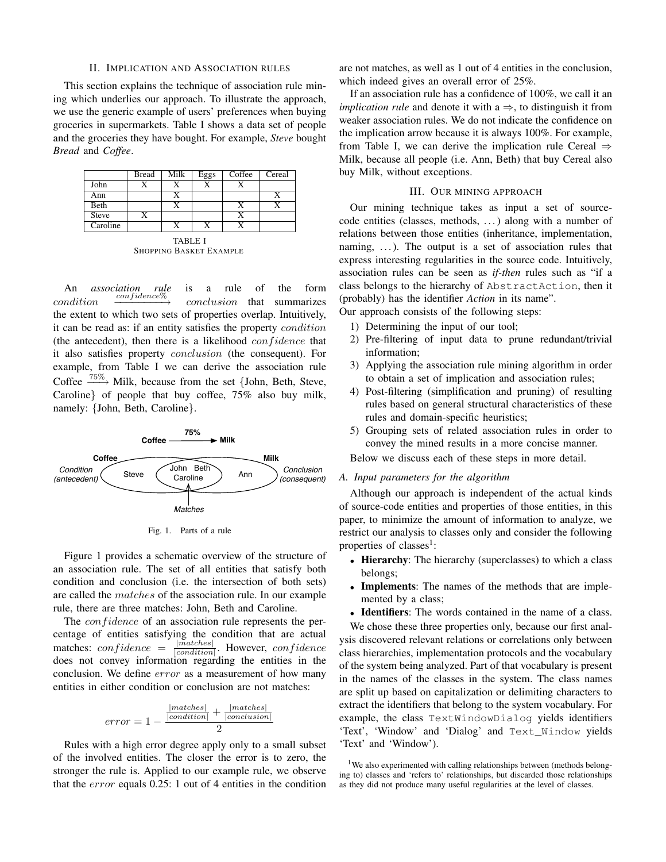#### II. IMPLICATION AND ASSOCIATION RULES

This section explains the technique of association rule mining which underlies our approach. To illustrate the approach, we use the generic example of users' preferences when buying groceries in supermarkets. Table I shows a data set of people and the groceries they have bought. For example, *Steve* bought *Bread* and *Coffee*.

|              | <b>Bread</b> | Milk | Eggs | Coffee | Cereal |
|--------------|--------------|------|------|--------|--------|
| John         | x            | X    | X    |        |        |
| Ann          |              | X    |      |        | X      |
| Beth         |              | х    |      | X      |        |
| <b>Steve</b> | X            |      |      | X      |        |
| Caroline     |              | x    | X    | X      |        |
| TABLE I      |              |      |      |        |        |

SHOPPING BASKET EXAMPLE

An *association rule* is a rule of the form  $condition \underbrace{\hspace{1cm}confidence\%}_{\hspace{1cm}^-}$  $conclusion$  that summarizes the extent to which two sets of properties overlap. Intuitively, it can be read as: if an entity satisfies the property condition (the antecedent), then there is a likelihood  $confidence$  that it also satisfies property conclusion (the consequent). For example, from Table I we can derive the association rule Coffee  $\frac{75\%}{4}$  Milk, because from the set {John, Beth, Steve, Caroline} of people that buy coffee, 75% also buy milk, namely: {John, Beth, Caroline}.



Fig. 1. Parts of a rule

Figure 1 provides a schematic overview of the structure of an association rule. The set of all entities that satisfy both condition and conclusion (i.e. the intersection of both sets) are called the *matches* of the association rule. In our example rule, there are three matches: John, Beth and Caroline.

The *confidence* of an association rule represents the percentage of entities satisfying the condition that are actual matches:  $confidence = \frac{|matches|}{|condition|}$  $\frac{|matches|}{|condition|}$ . However, confidence does not convey information regarding the entities in the conclusion. We define error as a measurement of how many entities in either condition or conclusion are not matches:

$$
error = 1 - \frac{\frac{|matches|}{|condition|} + \frac{|matches|}{|conclusion|}}{2}
$$

Rules with a high error degree apply only to a small subset of the involved entities. The closer the error is to zero, the stronger the rule is. Applied to our example rule, we observe that the error equals 0.25: 1 out of 4 entities in the condition are not matches, as well as 1 out of 4 entities in the conclusion, which indeed gives an overall error of 25%.

If an association rule has a confidence of 100%, we call it an *implication rule* and denote it with a ⇒, to distinguish it from weaker association rules. We do not indicate the confidence on the implication arrow because it is always 100%. For example, from Table I, we can derive the implication rule Cereal  $\Rightarrow$ Milk, because all people (i.e. Ann, Beth) that buy Cereal also buy Milk, without exceptions.

#### III. OUR MINING APPROACH

Our mining technique takes as input a set of sourcecode entities (classes, methods, . . . ) along with a number of relations between those entities (inheritance, implementation, naming, ...). The output is a set of association rules that express interesting regularities in the source code. Intuitively, association rules can be seen as *if-then* rules such as "if a class belongs to the hierarchy of AbstractAction, then it (probably) has the identifier *Action* in its name".

Our approach consists of the following steps:

- 1) Determining the input of our tool;
- 2) Pre-filtering of input data to prune redundant/trivial information;
- 3) Applying the association rule mining algorithm in order to obtain a set of implication and association rules;
- 4) Post-filtering (simplification and pruning) of resulting rules based on general structural characteristics of these rules and domain-specific heuristics;
- 5) Grouping sets of related association rules in order to convey the mined results in a more concise manner.

Below we discuss each of these steps in more detail.

# *A. Input parameters for the algorithm*

Although our approach is independent of the actual kinds of source-code entities and properties of those entities, in this paper, to minimize the amount of information to analyze, we restrict our analysis to classes only and consider the following properties of classes<sup>1</sup>:

- Hierarchy: The hierarchy (superclasses) to which a class belongs;
- Implements: The names of the methods that are implemented by a class;
- Identifiers: The words contained in the name of a class.

We chose these three properties only, because our first analysis discovered relevant relations or correlations only between class hierarchies, implementation protocols and the vocabulary of the system being analyzed. Part of that vocabulary is present in the names of the classes in the system. The class names are split up based on capitalization or delimiting characters to extract the identifiers that belong to the system vocabulary. For example, the class TextWindowDialog yields identifiers 'Text', 'Window' and 'Dialog' and Text\_Window yields 'Text' and 'Window').

<sup>&</sup>lt;sup>1</sup>We also experimented with calling relationships between (methods belonging to) classes and 'refers to' relationships, but discarded those relationships as they did not produce many useful regularities at the level of classes.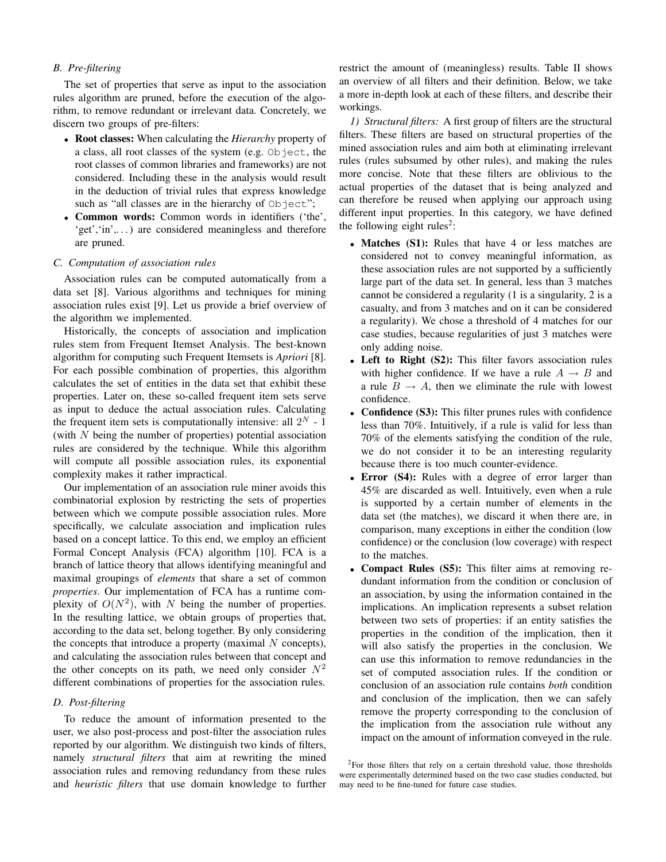### *B. Pre-filtering*

The set of properties that serve as input to the association rules algorithm are pruned, before the execution of the algorithm, to remove redundant or irrelevant data. Concretely, we discern two groups of pre-filters:

- Root classes: When calculating the *Hierarchy* property of a class, all root classes of the system (e.g. Object, the root classes of common libraries and frameworks) are not considered. Including these in the analysis would result in the deduction of trivial rules that express knowledge such as "all classes are in the hierarchy of Object";
- Common words: Common words in identifiers ('the', 'get','in',. . . ) are considered meaningless and therefore are pruned.

#### *C. Computation of association rules*

Association rules can be computed automatically from a data set [8]. Various algorithms and techniques for mining association rules exist [9]. Let us provide a brief overview of the algorithm we implemented.

Historically, the concepts of association and implication rules stem from Frequent Itemset Analysis. The best-known algorithm for computing such Frequent Itemsets is *Apriori* [8]. For each possible combination of properties, this algorithm calculates the set of entities in the data set that exhibit these properties. Later on, these so-called frequent item sets serve as input to deduce the actual association rules. Calculating the frequent item sets is computationally intensive: all  $2^N - 1$ (with  $N$  being the number of properties) potential association rules are considered by the technique. While this algorithm will compute all possible association rules, its exponential complexity makes it rather impractical.

Our implementation of an association rule miner avoids this combinatorial explosion by restricting the sets of properties between which we compute possible association rules. More specifically, we calculate association and implication rules based on a concept lattice. To this end, we employ an efficient Formal Concept Analysis (FCA) algorithm [10]. FCA is a branch of lattice theory that allows identifying meaningful and maximal groupings of *elements* that share a set of common *properties*. Our implementation of FCA has a runtime complexity of  $O(N^2)$ , with N being the number of properties. In the resulting lattice, we obtain groups of properties that, according to the data set, belong together. By only considering the concepts that introduce a property (maximal  $N$  concepts), and calculating the association rules between that concept and the other concepts on its path, we need only consider  $N^2$ different combinations of properties for the association rules.

#### *D. Post-filtering*

To reduce the amount of information presented to the user, we also post-process and post-filter the association rules reported by our algorithm. We distinguish two kinds of filters, namely *structural filters* that aim at rewriting the mined association rules and removing redundancy from these rules and *heuristic filters* that use domain knowledge to further restrict the amount of (meaningless) results. Table II shows an overview of all filters and their definition. Below, we take a more in-depth look at each of these filters, and describe their workings.

*1) Structural filters:* A first group of filters are the structural filters. These filters are based on structural properties of the mined association rules and aim both at eliminating irrelevant rules (rules subsumed by other rules), and making the rules more concise. Note that these filters are oblivious to the actual properties of the dataset that is being analyzed and can therefore be reused when applying our approach using different input properties. In this category, we have defined the following eight rules<sup>2</sup>:

- Matches (S1): Rules that have 4 or less matches are considered not to convey meaningful information, as these association rules are not supported by a sufficiently large part of the data set. In general, less than 3 matches cannot be considered a regularity (1 is a singularity, 2 is a casualty, and from 3 matches and on it can be considered a regularity). We chose a threshold of 4 matches for our case studies, because regularities of just 3 matches were only adding noise.
- Left to Right (S2): This filter favors association rules with higher confidence. If we have a rule  $A \rightarrow B$  and a rule  $B \rightarrow A$ , then we eliminate the rule with lowest confidence.
- Confidence (S3): This filter prunes rules with confidence less than 70%. Intuitively, if a rule is valid for less than 70% of the elements satisfying the condition of the rule, we do not consider it to be an interesting regularity because there is too much counter-evidence.
- Error (S4): Rules with a degree of error larger than 45% are discarded as well. Intuitively, even when a rule is supported by a certain number of elements in the data set (the matches), we discard it when there are, in comparison, many exceptions in either the condition (low confidence) or the conclusion (low coverage) with respect to the matches.
- Compact Rules (S5): This filter aims at removing redundant information from the condition or conclusion of an association, by using the information contained in the implications. An implication represents a subset relation between two sets of properties: if an entity satisfies the properties in the condition of the implication, then it will also satisfy the properties in the conclusion. We can use this information to remove redundancies in the set of computed association rules. If the condition or conclusion of an association rule contains *both* condition and conclusion of the implication, then we can safely remove the property corresponding to the conclusion of the implication from the association rule without any impact on the amount of information conveyed in the rule.

 $2$ For those filters that rely on a certain threshold value, those thresholds were experimentally determined based on the two case studies conducted, but may need to be fine-tuned for future case studies.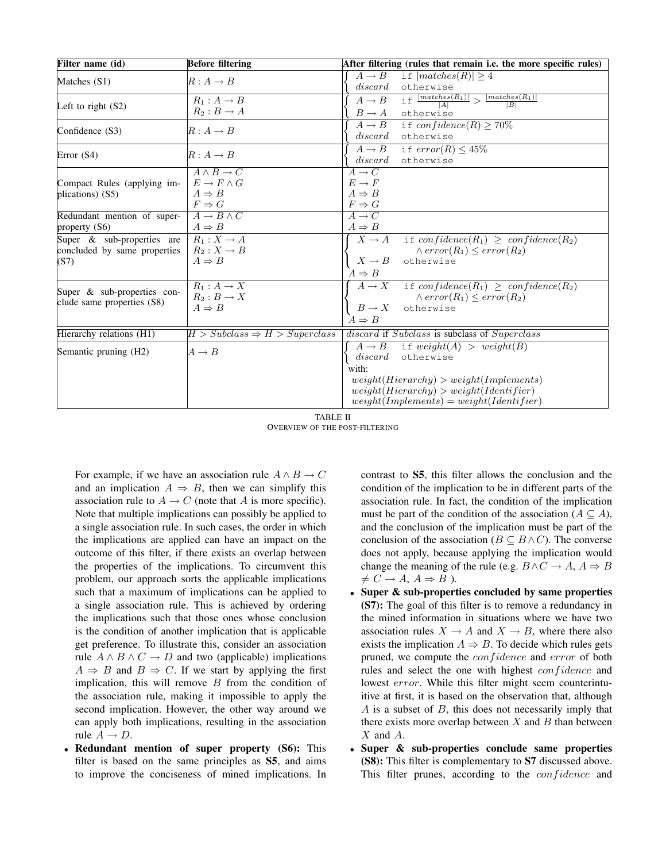| Filter name (id)                                                   | <b>Before filtering</b>                                                                       | After filtering (rules that remain i.e. the more specific rules)                                                                            |
|--------------------------------------------------------------------|-----------------------------------------------------------------------------------------------|---------------------------------------------------------------------------------------------------------------------------------------------|
| Matches (S1)                                                       | $R: A \rightarrow B$                                                                          | $A \rightarrow B$<br>if $ matches(R)  \geq 4$<br>discard<br>otherwise                                                                       |
| Left to right $(S2)$                                               | $R_1: A \rightarrow B$<br>$R_2: B \to A$                                                      | if $\frac{ matches(R_1) }{ A } > \frac{ matches(R_1) }{ B }$<br>$A \rightarrow B$<br>$B \to A$<br>otherwise                                 |
| Confidence (S3)                                                    | $R: A \rightarrow B$                                                                          | if $confidence(R) \geq 70\%$<br>$A \rightarrow B$<br>otherwise<br>discard                                                                   |
| Error $(S4)$                                                       | $R: A \rightarrow B$                                                                          | if $error(R) \leq 45\%$<br>$A \rightarrow B$<br>discard<br>otherwise                                                                        |
| Compact Rules (applying im-<br>plications) (S5)                    | $\overline{A \wedge B \to C}$<br>$E \to F \wedge G$<br>$A \Rightarrow B$<br>$F \Rightarrow G$ | $\overline{A \rightarrow C}$<br>$E \to F$<br>$A \Rightarrow B$<br>$F \Rightarrow G$                                                         |
| Redundant mention of super-<br>property $(S6)$                     | $\overline{A \rightarrow B \wedge C}$<br>$A \Rightarrow B$                                    | $\overline{A \rightarrow C}$<br>$A \Rightarrow B$                                                                                           |
| Super & sub-properties are<br>concluded by same properties<br>(S7) | $R_1: X \to A$<br>$R_2: X \to B$<br>$A \Rightarrow B$                                         | $X \to A$<br>if $confidence(R_1) \geq confidence(R_2)$<br>$\land error(R_1) \leq error(R_2)$<br>$X \to B$<br>otherwise<br>$A \Rightarrow B$ |
| Super & sub-properties con-<br>clude same properties (S8)          | $R_1: A \rightarrow X$<br>$R_2: B \to X$<br>$A \Rightarrow B$                                 | if $confidence(R_1) \geq confidence(R_2)$<br>$A \to X$<br>$\land error(R_1) \leq error(R_2)$<br>$B \to X$<br>otherwise<br>$A \Rightarrow B$ |
| Hierarchy relations (H1)                                           | $H > Subclass \Rightarrow H > Superclass$                                                     | <i>discard</i> if Subclass is subclass of Superclass                                                                                        |
| Semantic pruning (H2)                                              | $A \rightarrow B$                                                                             | $A \rightarrow B$ if $weight(A) > weight(B)$<br>discard otherwise<br>with:                                                                  |
|                                                                    |                                                                                               | $weight(Hierarchy) > weight(Implements)$<br>$weight(Hierarchy) > weight(Identifier)$<br>$weight(Implements) = weight(Identifier)$           |

TABLE II OVERVIEW OF THE POST-FILTERING

For example, if we have an association rule  $A \wedge B \to C$ and an implication  $A \Rightarrow B$ , then we can simplify this association rule to  $A \to C$  (note that A is more specific). Note that multiple implications can possibly be applied to a single association rule. In such cases, the order in which the implications are applied can have an impact on the outcome of this filter, if there exists an overlap between the properties of the implications. To circumvent this problem, our approach sorts the applicable implications such that a maximum of implications can be applied to a single association rule. This is achieved by ordering the implications such that those ones whose conclusion is the condition of another implication that is applicable get preference. To illustrate this, consider an association rule  $A \wedge B \wedge C \rightarrow D$  and two (applicable) implications  $A \Rightarrow B$  and  $B \Rightarrow C$ . If we start by applying the first implication, this will remove  $B$  from the condition of the association rule, making it impossible to apply the second implication. However, the other way around we can apply both implications, resulting in the association rule  $A \rightarrow D$ .

• Redundant mention of super property (S6): This filter is based on the same principles as S5, and aims to improve the conciseness of mined implications. In contrast to S5, this filter allows the conclusion and the condition of the implication to be in different parts of the association rule. In fact, the condition of the implication must be part of the condition of the association ( $A \subseteq A$ ), and the conclusion of the implication must be part of the conclusion of the association ( $B \subseteq B \wedge C$ ). The converse does not apply, because applying the implication would change the meaning of the rule (e.g.  $B \land C \rightarrow A$ ,  $A \Rightarrow B$  $\neq C \rightarrow A, A \Rightarrow B$  ).

- Super & sub-properties concluded by same properties (S7): The goal of this filter is to remove a redundancy in the mined information in situations where we have two association rules  $X \to A$  and  $X \to B$ , where there also exists the implication  $A \Rightarrow B$ . To decide which rules gets pruned, we compute the *confidence* and *error* of both rules and select the one with highest confidence and lowest error. While this filter might seem counterintuitive at first, it is based on the observation that, although A is a subset of B, this does not necessarily imply that there exists more overlap between  $X$  and  $B$  than between X and A.
- Super & sub-properties conclude same properties (S8): This filter is complementary to S7 discussed above. This filter prunes, according to the *confidence* and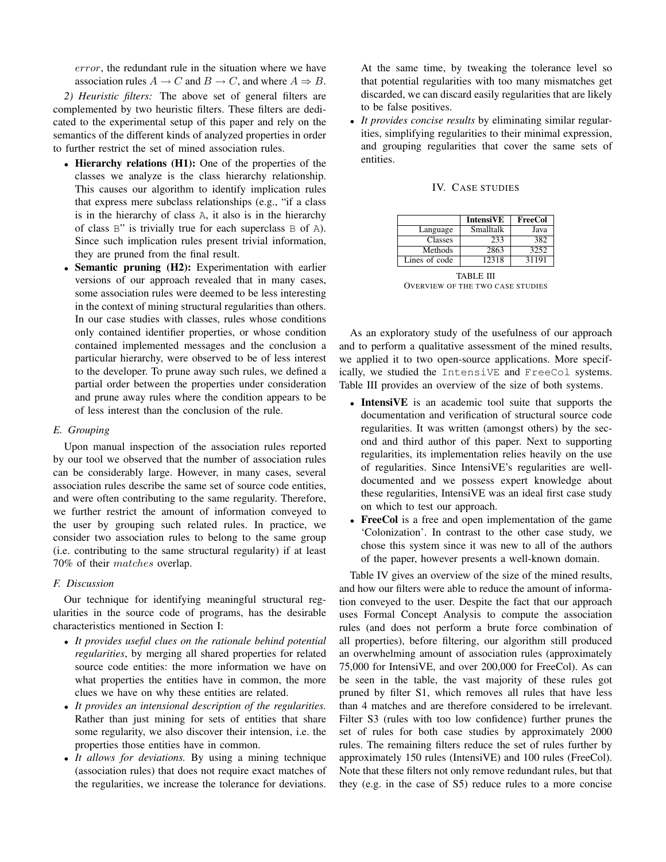error, the redundant rule in the situation where we have association rules  $A \to C$  and  $B \to C$ , and where  $A \Rightarrow B$ .

*2) Heuristic filters:* The above set of general filters are complemented by two heuristic filters. These filters are dedicated to the experimental setup of this paper and rely on the semantics of the different kinds of analyzed properties in order to further restrict the set of mined association rules.

- Hierarchy relations (H1): One of the properties of the classes we analyze is the class hierarchy relationship. This causes our algorithm to identify implication rules that express mere subclass relationships (e.g., "if a class is in the hierarchy of class A, it also is in the hierarchy of class B" is trivially true for each superclass B of A). Since such implication rules present trivial information, they are pruned from the final result.
- Semantic pruning (H2): Experimentation with earlier versions of our approach revealed that in many cases, some association rules were deemed to be less interesting in the context of mining structural regularities than others. In our case studies with classes, rules whose conditions only contained identifier properties, or whose condition contained implemented messages and the conclusion a particular hierarchy, were observed to be of less interest to the developer. To prune away such rules, we defined a partial order between the properties under consideration and prune away rules where the condition appears to be of less interest than the conclusion of the rule.

#### *E. Grouping*

Upon manual inspection of the association rules reported by our tool we observed that the number of association rules can be considerably large. However, in many cases, several association rules describe the same set of source code entities, and were often contributing to the same regularity. Therefore, we further restrict the amount of information conveyed to the user by grouping such related rules. In practice, we consider two association rules to belong to the same group (i.e. contributing to the same structural regularity) if at least 70% of their matches overlap.

# *F. Discussion*

Our technique for identifying meaningful structural regularities in the source code of programs, has the desirable characteristics mentioned in Section I:

- *It provides useful clues on the rationale behind potential regularities*, by merging all shared properties for related source code entities: the more information we have on what properties the entities have in common, the more clues we have on why these entities are related.
- *It provides an intensional description of the regularities.* Rather than just mining for sets of entities that share some regularity, we also discover their intension, i.e. the properties those entities have in common.
- *It allows for deviations.* By using a mining technique (association rules) that does not require exact matches of the regularities, we increase the tolerance for deviations.

At the same time, by tweaking the tolerance level so that potential regularities with too many mismatches get discarded, we can discard easily regularities that are likely to be false positives.

• *It provides concise results* by eliminating similar regularities, simplifying regularities to their minimal expression, and grouping regularities that cover the same sets of entities.

|               | <b>IntensiVE</b> | FreeCol |
|---------------|------------------|---------|
| Language      | Smalltalk        | Java    |
| Classes       | 233              | 382     |
| Methods       | 2863             | 3252    |
| Lines of code | 12318            | 31191   |

#### IV. CASE STUDIES

TABLE III OVERVIEW OF THE TWO CASE STUDIES

As an exploratory study of the usefulness of our approach and to perform a qualitative assessment of the mined results, we applied it to two open-source applications. More specifically, we studied the IntensiVE and FreeCol systems. Table III provides an overview of the size of both systems.

- IntensiVE is an academic tool suite that supports the documentation and verification of structural source code regularities. It was written (amongst others) by the second and third author of this paper. Next to supporting regularities, its implementation relies heavily on the use of regularities. Since IntensiVE's regularities are welldocumented and we possess expert knowledge about these regularities, IntensiVE was an ideal first case study on which to test our approach.
- FreeCol is a free and open implementation of the game 'Colonization'. In contrast to the other case study, we chose this system since it was new to all of the authors of the paper, however presents a well-known domain.

Table IV gives an overview of the size of the mined results, and how our filters were able to reduce the amount of information conveyed to the user. Despite the fact that our approach uses Formal Concept Analysis to compute the association rules (and does not perform a brute force combination of all properties), before filtering, our algorithm still produced an overwhelming amount of association rules (approximately 75,000 for IntensiVE, and over 200,000 for FreeCol). As can be seen in the table, the vast majority of these rules got pruned by filter S1, which removes all rules that have less than 4 matches and are therefore considered to be irrelevant. Filter S3 (rules with too low confidence) further prunes the set of rules for both case studies by approximately 2000 rules. The remaining filters reduce the set of rules further by approximately 150 rules (IntensiVE) and 100 rules (FreeCol). Note that these filters not only remove redundant rules, but that they (e.g. in the case of S5) reduce rules to a more concise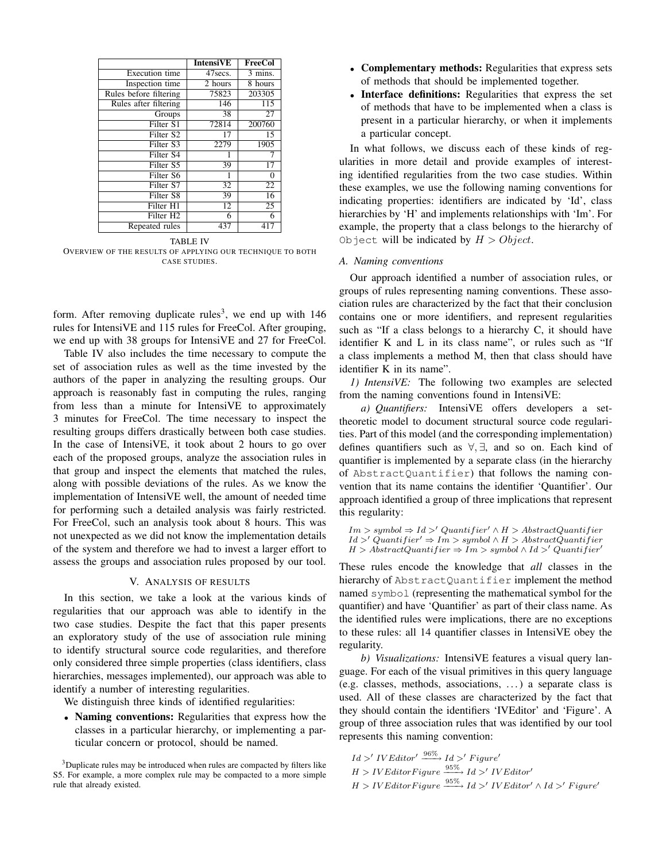|                        | <b>IntensiVE</b> | <b>FreeCol</b>  |
|------------------------|------------------|-----------------|
| <b>Execution</b> time  | 47 secs.         | 3 mins.         |
| Inspection time        | 2 hours          | 8 hours         |
| Rules before filtering | 75823            | 203305          |
| Rules after filtering  | 146              | 115             |
| Groups                 | 38               | $\overline{27}$ |
| Filter S1              | 72814            | 200760          |
| Filter S2              | 17               | 15              |
| Filter S3              | 2279             | 1905            |
| Filter <sub>S4</sub>   | 1                | 7               |
| Filter S5              | 39               | 17              |
| Filter S6              |                  | $\Omega$        |
| Filter <sub>S7</sub>   | $\overline{32}$  | 22              |
| Filter S8              | 39               | $\overline{16}$ |
| Filter H1              | 12               | $\overline{25}$ |
| Filter H <sub>2</sub>  | 6                | 6               |
| Repeated rules         | 437              | 417             |

TABLE IV OVERVIEW OF THE RESULTS OF APPLYING OUR TECHNIQUE TO BOTH CASE STUDIES.

form. After removing duplicate rules<sup>3</sup>, we end up with  $146$ rules for IntensiVE and 115 rules for FreeCol. After grouping, we end up with 38 groups for IntensiVE and 27 for FreeCol.

Table IV also includes the time necessary to compute the set of association rules as well as the time invested by the authors of the paper in analyzing the resulting groups. Our approach is reasonably fast in computing the rules, ranging from less than a minute for IntensiVE to approximately 3 minutes for FreeCol. The time necessary to inspect the resulting groups differs drastically between both case studies. In the case of IntensiVE, it took about 2 hours to go over each of the proposed groups, analyze the association rules in that group and inspect the elements that matched the rules, along with possible deviations of the rules. As we know the implementation of IntensiVE well, the amount of needed time for performing such a detailed analysis was fairly restricted. For FreeCol, such an analysis took about 8 hours. This was not unexpected as we did not know the implementation details of the system and therefore we had to invest a larger effort to assess the groups and association rules proposed by our tool.

# V. ANALYSIS OF RESULTS

In this section, we take a look at the various kinds of regularities that our approach was able to identify in the two case studies. Despite the fact that this paper presents an exploratory study of the use of association rule mining to identify structural source code regularities, and therefore only considered three simple properties (class identifiers, class hierarchies, messages implemented), our approach was able to identify a number of interesting regularities.

We distinguish three kinds of identified regularities:

• Naming conventions: Regularities that express how the classes in a particular hierarchy, or implementing a particular concern or protocol, should be named.

- Complementary methods: Regularities that express sets of methods that should be implemented together.
- Interface definitions: Regularities that express the set of methods that have to be implemented when a class is present in a particular hierarchy, or when it implements a particular concept.

In what follows, we discuss each of these kinds of regularities in more detail and provide examples of interesting identified regularities from the two case studies. Within these examples, we use the following naming conventions for indicating properties: identifiers are indicated by 'Id', class hierarchies by 'H' and implements relationships with 'Im'. For example, the property that a class belongs to the hierarchy of Object will be indicated by  $H > Object$ .

#### *A. Naming conventions*

Our approach identified a number of association rules, or groups of rules representing naming conventions. These association rules are characterized by the fact that their conclusion contains one or more identifiers, and represent regularities such as "If a class belongs to a hierarchy C, it should have identifier K and L in its class name", or rules such as "If a class implements a method M, then that class should have identifier K in its name".

*1) IntensiVE:* The following two examples are selected from the naming conventions found in IntensiVE:

*a) Quantifiers:* IntensiVE offers developers a settheoretic model to document structural source code regularities. Part of this model (and the corresponding implementation) defines quantifiers such as ∀, ∃, and so on. Each kind of quantifier is implemented by a separate class (in the hierarchy of AbstractQuantifier) that follows the naming convention that its name contains the identifier 'Quantifier'. Our approach identified a group of three implications that represent this regularity:

 $Im > symbol \Rightarrow Id >' Quantifier' \wedge H > AbstractQuantifier$  $Id >'$  Quantifier'  $\Rightarrow Im >$  symbol  $\land H >$  AbstractQuantifier  $H > AbstractQuantifier \Rightarrow Im > symbol \wedge Id >' Quantifier'$ 

These rules encode the knowledge that *all* classes in the hierarchy of AbstractQuantifier implement the method named symbol (representing the mathematical symbol for the quantifier) and have 'Quantifier' as part of their class name. As the identified rules were implications, there are no exceptions to these rules: all 14 quantifier classes in IntensiVE obey the regularity.

*b) Visualizations:* IntensiVE features a visual query language. For each of the visual primitives in this query language (e.g. classes, methods, associations, . . . ) a separate class is used. All of these classes are characterized by the fact that they should contain the identifiers 'IVEditor' and 'Figure'. A group of three association rules that was identified by our tool represents this naming convention:

 $Id >' IVEdtor' \stackrel{96\%}{\longrightarrow} Id >' Figure'$  $H > IVEdt$ or Figure  $\xrightarrow{95\%} Id >' IVEdt$ or'  $H > IVEdt$ tor Figure  $\xrightarrow{95\%} Id >' IVEdt$ or'  $\wedge Id >'Figure'$ 

<sup>&</sup>lt;sup>3</sup>Duplicate rules may be introduced when rules are compacted by filters like S5. For example, a more complex rule may be compacted to a more simple rule that already existed.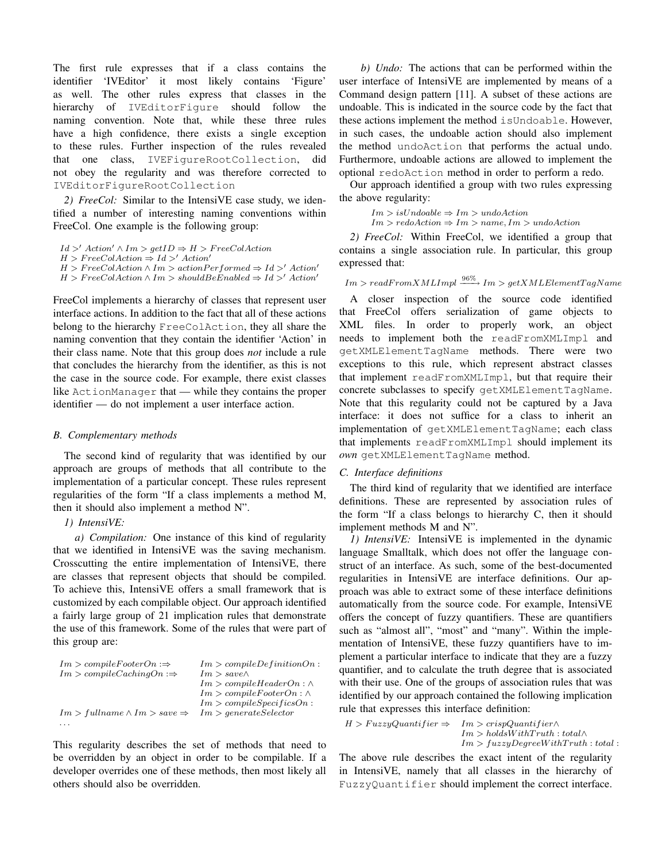The first rule expresses that if a class contains the identifier 'IVEditor' it most likely contains 'Figure' as well. The other rules express that classes in the hierarchy of IVEditorFigure should follow the naming convention. Note that, while these three rules have a high confidence, there exists a single exception to these rules. Further inspection of the rules revealed that one class, IVEFigureRootCollection, did not obey the regularity and was therefore corrected to IVEditorFigureRootCollection

*2) FreeCol:* Similar to the IntensiVE case study, we identified a number of interesting naming conventions within FreeCol. One example is the following group:

$$
Id \gt' Action' \land Im \gt{getID} \Rightarrow H \gt{FreeColAction}
$$

```
H > FreeColAction \Rightarrow Id >' Action'
```

```
H > FreeColAction \wedge Im > actionPerformed \Rightarrow Id >' Action'
```

```
H > FreeColAction \wedge Im > should BeEnabled \Rightarrow Id >' Action'
```
FreeCol implements a hierarchy of classes that represent user interface actions. In addition to the fact that all of these actions belong to the hierarchy FreeColAction, they all share the naming convention that they contain the identifier 'Action' in their class name. Note that this group does *not* include a rule that concludes the hierarchy from the identifier, as this is not the case in the source code. For example, there exist classes like ActionManager that — while they contains the proper identifier — do not implement a user interface action.

# *B. Complementary methods*

The second kind of regularity that was identified by our approach are groups of methods that all contribute to the implementation of a particular concept. These rules represent regularities of the form "If a class implements a method M, then it should also implement a method N".

# *1) IntensiVE:*

*a) Compilation:* One instance of this kind of regularity that we identified in IntensiVE was the saving mechanism. Crosscutting the entire implementation of IntensiVE, there are classes that represent objects that should be compiled. To achieve this, IntensiVE offers a small framework that is customized by each compilable object. Our approach identified a fairly large group of 21 implication rules that demonstrate the use of this framework. Some of the rules that were part of this group are:

| $Im > complete FooterOn :\Rightarrow$        | $Im > compileDefinitionOn$ :     |
|----------------------------------------------|----------------------------------|
| $Im > computeCachingOn : \Rightarrow$        | $Im > save \wedge$               |
|                                              | $Im > completeHeaderOn : \wedge$ |
|                                              | $Im > compileFooterOn : \wedge$  |
|                                              | $Im > compileSpecificsOn$ :      |
| $Im > fullname \wedge Im > save \Rightarrow$ | Im > qenerate Selector           |
|                                              |                                  |

This regularity describes the set of methods that need to be overridden by an object in order to be compilable. If a developer overrides one of these methods, then most likely all others should also be overridden.

*b) Undo:* The actions that can be performed within the user interface of IntensiVE are implemented by means of a Command design pattern [11]. A subset of these actions are undoable. This is indicated in the source code by the fact that these actions implement the method isUndoable. However, in such cases, the undoable action should also implement the method undoAction that performs the actual undo. Furthermore, undoable actions are allowed to implement the optional redoAction method in order to perform a redo.

Our approach identified a group with two rules expressing the above regularity:

> $Im > isUndoable \Rightarrow Im > undoAction$  $Im > redoAction \Rightarrow Im > name, Im >undoAction$

*2) FreeCol:* Within FreeCol, we identified a group that contains a single association rule. In particular, this group expressed that:

# $Im > readFrom XMLImpl \xrightarrow{96\%} Im > getXMLElementTagName$

A closer inspection of the source code identified that FreeCol offers serialization of game objects to XML files. In order to properly work, an object needs to implement both the readFromXMLImpl and getXMLElementTagName methods. There were two exceptions to this rule, which represent abstract classes that implement readFromXMLImpl, but that require their concrete subclasses to specify getXMLElementTagName. Note that this regularity could not be captured by a Java interface: it does not suffice for a class to inherit an implementation of getXMLElementTagName; each class that implements readFromXMLImpl should implement its *own* getXMLElementTagName method.

#### *C. Interface definitions*

The third kind of regularity that we identified are interface definitions. These are represented by association rules of the form "If a class belongs to hierarchy C, then it should implement methods M and N".

*1) IntensiVE:* IntensiVE is implemented in the dynamic language Smalltalk, which does not offer the language construct of an interface. As such, some of the best-documented regularities in IntensiVE are interface definitions. Our approach was able to extract some of these interface definitions automatically from the source code. For example, IntensiVE offers the concept of fuzzy quantifiers. These are quantifiers such as "almost all", "most" and "many". Within the implementation of IntensiVE, these fuzzy quantifiers have to implement a particular interface to indicate that they are a fuzzy quantifier, and to calculate the truth degree that is associated with their use. One of the groups of association rules that was identified by our approach contained the following implication rule that expresses this interface definition:

 $H > FuzzyQuantifier \Rightarrow Im > crispQuantifier \wedge$  $Im > holdsWith Truth: total \wedge$  $Im > fuzzyDegreeWith Truth: total:$ 

The above rule describes the exact intent of the regularity in IntensiVE, namely that all classes in the hierarchy of FuzzyQuantifier should implement the correct interface.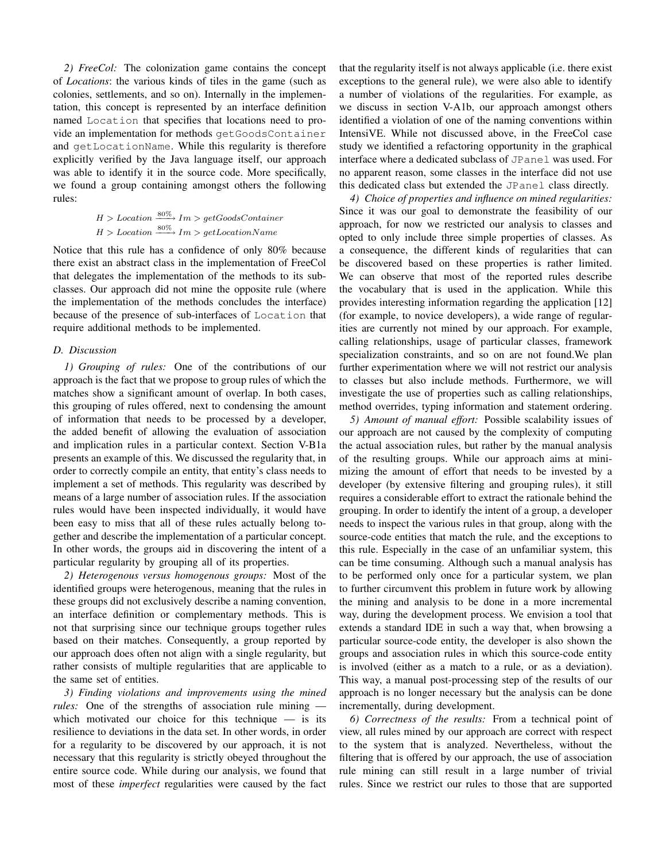*2) FreeCol:* The colonization game contains the concept of *Locations*: the various kinds of tiles in the game (such as colonies, settlements, and so on). Internally in the implementation, this concept is represented by an interface definition named Location that specifies that locations need to provide an implementation for methods getGoodsContainer and getLocationName. While this regularity is therefore explicitly verified by the Java language itself, our approach was able to identify it in the source code. More specifically, we found a group containing amongst others the following rules:

$$
H > Location \xrightarrow{80\%} Im > getGoodsContainer
$$
  

$$
H > Location \xrightarrow{80\%} Im > getLocationName
$$

Notice that this rule has a confidence of only 80% because there exist an abstract class in the implementation of FreeCol that delegates the implementation of the methods to its subclasses. Our approach did not mine the opposite rule (where the implementation of the methods concludes the interface) because of the presence of sub-interfaces of Location that require additional methods to be implemented.

#### *D. Discussion*

*1) Grouping of rules:* One of the contributions of our approach is the fact that we propose to group rules of which the matches show a significant amount of overlap. In both cases, this grouping of rules offered, next to condensing the amount of information that needs to be processed by a developer, the added benefit of allowing the evaluation of association and implication rules in a particular context. Section V-B1a presents an example of this. We discussed the regularity that, in order to correctly compile an entity, that entity's class needs to implement a set of methods. This regularity was described by means of a large number of association rules. If the association rules would have been inspected individually, it would have been easy to miss that all of these rules actually belong together and describe the implementation of a particular concept. In other words, the groups aid in discovering the intent of a particular regularity by grouping all of its properties.

*2) Heterogenous versus homogenous groups:* Most of the identified groups were heterogenous, meaning that the rules in these groups did not exclusively describe a naming convention, an interface definition or complementary methods. This is not that surprising since our technique groups together rules based on their matches. Consequently, a group reported by our approach does often not align with a single regularity, but rather consists of multiple regularities that are applicable to the same set of entities.

*3) Finding violations and improvements using the mined rules:* One of the strengths of association rule mining which motivated our choice for this technique — is its resilience to deviations in the data set. In other words, in order for a regularity to be discovered by our approach, it is not necessary that this regularity is strictly obeyed throughout the entire source code. While during our analysis, we found that most of these *imperfect* regularities were caused by the fact

that the regularity itself is not always applicable (i.e. there exist exceptions to the general rule), we were also able to identify a number of violations of the regularities. For example, as we discuss in section V-A1b, our approach amongst others identified a violation of one of the naming conventions within IntensiVE. While not discussed above, in the FreeCol case study we identified a refactoring opportunity in the graphical interface where a dedicated subclass of JPanel was used. For no apparent reason, some classes in the interface did not use this dedicated class but extended the JPanel class directly.

*4) Choice of properties and influence on mined regularities:* Since it was our goal to demonstrate the feasibility of our approach, for now we restricted our analysis to classes and opted to only include three simple properties of classes. As a consequence, the different kinds of regularities that can be discovered based on these properties is rather limited. We can observe that most of the reported rules describe the vocabulary that is used in the application. While this provides interesting information regarding the application [12] (for example, to novice developers), a wide range of regularities are currently not mined by our approach. For example, calling relationships, usage of particular classes, framework specialization constraints, and so on are not found.We plan further experimentation where we will not restrict our analysis to classes but also include methods. Furthermore, we will investigate the use of properties such as calling relationships, method overrides, typing information and statement ordering.

*5) Amount of manual effort:* Possible scalability issues of our approach are not caused by the complexity of computing the actual association rules, but rather by the manual analysis of the resulting groups. While our approach aims at minimizing the amount of effort that needs to be invested by a developer (by extensive filtering and grouping rules), it still requires a considerable effort to extract the rationale behind the grouping. In order to identify the intent of a group, a developer needs to inspect the various rules in that group, along with the source-code entities that match the rule, and the exceptions to this rule. Especially in the case of an unfamiliar system, this can be time consuming. Although such a manual analysis has to be performed only once for a particular system, we plan to further circumvent this problem in future work by allowing the mining and analysis to be done in a more incremental way, during the development process. We envision a tool that extends a standard IDE in such a way that, when browsing a particular source-code entity, the developer is also shown the groups and association rules in which this source-code entity is involved (either as a match to a rule, or as a deviation). This way, a manual post-processing step of the results of our approach is no longer necessary but the analysis can be done incrementally, during development.

*6) Correctness of the results:* From a technical point of view, all rules mined by our approach are correct with respect to the system that is analyzed. Nevertheless, without the filtering that is offered by our approach, the use of association rule mining can still result in a large number of trivial rules. Since we restrict our rules to those that are supported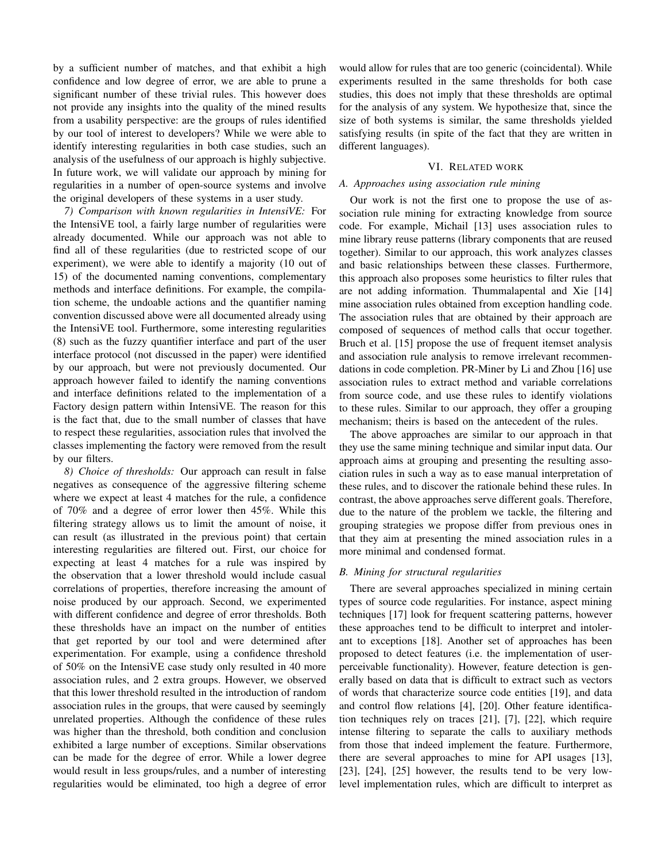by a sufficient number of matches, and that exhibit a high confidence and low degree of error, we are able to prune a significant number of these trivial rules. This however does not provide any insights into the quality of the mined results from a usability perspective: are the groups of rules identified by our tool of interest to developers? While we were able to identify interesting regularities in both case studies, such an analysis of the usefulness of our approach is highly subjective. In future work, we will validate our approach by mining for regularities in a number of open-source systems and involve the original developers of these systems in a user study.

*7) Comparison with known regularities in IntensiVE:* For the IntensiVE tool, a fairly large number of regularities were already documented. While our approach was not able to find all of these regularities (due to restricted scope of our experiment), we were able to identify a majority (10 out of 15) of the documented naming conventions, complementary methods and interface definitions. For example, the compilation scheme, the undoable actions and the quantifier naming convention discussed above were all documented already using the IntensiVE tool. Furthermore, some interesting regularities (8) such as the fuzzy quantifier interface and part of the user interface protocol (not discussed in the paper) were identified by our approach, but were not previously documented. Our approach however failed to identify the naming conventions and interface definitions related to the implementation of a Factory design pattern within IntensiVE. The reason for this is the fact that, due to the small number of classes that have to respect these regularities, association rules that involved the classes implementing the factory were removed from the result by our filters.

*8) Choice of thresholds:* Our approach can result in false negatives as consequence of the aggressive filtering scheme where we expect at least 4 matches for the rule, a confidence of 70% and a degree of error lower then 45%. While this filtering strategy allows us to limit the amount of noise, it can result (as illustrated in the previous point) that certain interesting regularities are filtered out. First, our choice for expecting at least 4 matches for a rule was inspired by the observation that a lower threshold would include casual correlations of properties, therefore increasing the amount of noise produced by our approach. Second, we experimented with different confidence and degree of error thresholds. Both these thresholds have an impact on the number of entities that get reported by our tool and were determined after experimentation. For example, using a confidence threshold of 50% on the IntensiVE case study only resulted in 40 more association rules, and 2 extra groups. However, we observed that this lower threshold resulted in the introduction of random association rules in the groups, that were caused by seemingly unrelated properties. Although the confidence of these rules was higher than the threshold, both condition and conclusion exhibited a large number of exceptions. Similar observations can be made for the degree of error. While a lower degree would result in less groups/rules, and a number of interesting regularities would be eliminated, too high a degree of error

would allow for rules that are too generic (coincidental). While experiments resulted in the same thresholds for both case studies, this does not imply that these thresholds are optimal for the analysis of any system. We hypothesize that, since the size of both systems is similar, the same thresholds yielded satisfying results (in spite of the fact that they are written in different languages).

### VI. RELATED WORK

#### *A. Approaches using association rule mining*

Our work is not the first one to propose the use of association rule mining for extracting knowledge from source code. For example, Michail [13] uses association rules to mine library reuse patterns (library components that are reused together). Similar to our approach, this work analyzes classes and basic relationships between these classes. Furthermore, this approach also proposes some heuristics to filter rules that are not adding information. Thummalapental and Xie [14] mine association rules obtained from exception handling code. The association rules that are obtained by their approach are composed of sequences of method calls that occur together. Bruch et al. [15] propose the use of frequent itemset analysis and association rule analysis to remove irrelevant recommendations in code completion. PR-Miner by Li and Zhou [16] use association rules to extract method and variable correlations from source code, and use these rules to identify violations to these rules. Similar to our approach, they offer a grouping mechanism; theirs is based on the antecedent of the rules.

The above approaches are similar to our approach in that they use the same mining technique and similar input data. Our approach aims at grouping and presenting the resulting association rules in such a way as to ease manual interpretation of these rules, and to discover the rationale behind these rules. In contrast, the above approaches serve different goals. Therefore, due to the nature of the problem we tackle, the filtering and grouping strategies we propose differ from previous ones in that they aim at presenting the mined association rules in a more minimal and condensed format.

#### *B. Mining for structural regularities*

There are several approaches specialized in mining certain types of source code regularities. For instance, aspect mining techniques [17] look for frequent scattering patterns, however these approaches tend to be difficult to interpret and intolerant to exceptions [18]. Another set of approaches has been proposed to detect features (i.e. the implementation of userperceivable functionality). However, feature detection is generally based on data that is difficult to extract such as vectors of words that characterize source code entities [19], and data and control flow relations [4], [20]. Other feature identification techniques rely on traces [21], [7], [22], which require intense filtering to separate the calls to auxiliary methods from those that indeed implement the feature. Furthermore, there are several approaches to mine for API usages [13], [23], [24], [25] however, the results tend to be very lowlevel implementation rules, which are difficult to interpret as